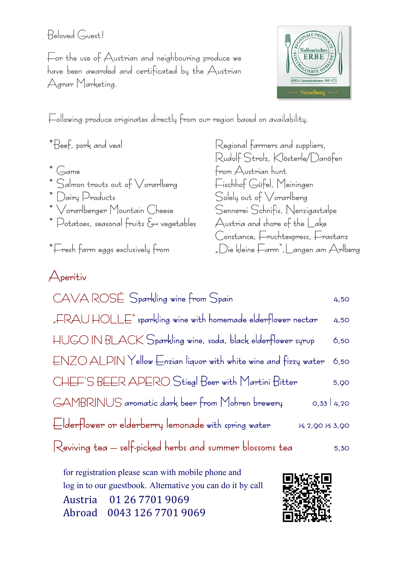#### Beloved Guest!

For the use of Austrian and neighbouring produce we have been awarded and certificated by the Austrian Agrar Marketing.



Following produce originates directly from our region based on availability.

- 
- 
- 
- 
- \* Potatoes, seasonal fruits  $\xi$  vegetables  $\qquad$  Austria and shore of the Lake

\*Beef, pork and veal Regional farmers and suppliers, Rudolf Strolz, Klösterle/Danöfen \* Game From Austrian hunt \* Salmon trouts out of Vorarlberg  $\begin{array}{ll}\n\text{*} & \text{Fischhof Güfel, Meiningen} \\
\text{*} & \text{Dairy Products} \\
\end{array}$  $S$ olely out of  $\sqrt{$ orarlberg  $*$   $\vee$ orarlberger Mountain Cheese Sennerei Schnifis, Nenzigastalpe Constance, Fruchtexpress, Frastanz \*Fresh farm eggs exclusively from "Die kleine Farm",Langen am Arlberg

### Aperitiv

| CAVA ROSÉ Sparkling wine from Spain                                                               | 4,50 |
|---------------------------------------------------------------------------------------------------|------|
| "FRAU HOLLE" sparkling wine with homemade elderflower nectar                                      | 4,50 |
| HUGO IN BLACK Sparkling wine, soda, black elderflower syrup                                       | 6,50 |
| $ENZO$ ALPIN Yellow Enzian liquor with white wine and fizzy water                                 | 6,50 |
| CHEF'S BEER APERO Stiegl Beer with Martini Bitter                                                 | 5,90 |
| GAMBRINUS aromatic dark beer from Mohren brewery<br>0,33   4,20                                   |      |
| Elderflower or elderberry lemonade with spring water<br>V <sub>4</sub> 2, 90 V <sub>2</sub> 3, 90 |      |
| Reviving tea – self-picked herbs and summer blossoms tea                                          | 5,30 |

for registration please scan with mobile phone and log in to our guestbook. Alternative you can do it by call Austria 01 26 7701 9069 Abroad 0043 126 7701 9069

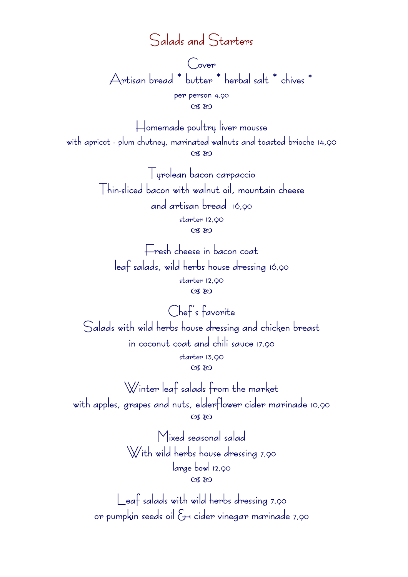### Salads and Starters

Cover Artisan bread \* butter \* herbal salt \* chives \* per person 4,90

 $CZ$   $EQ$ 

Homemade poultry liver mousse with apricot - plum chutney, marinated walnuts and toasted brioche 14,90  $C38$ 

> Tyrolean bacon carpaccio Thin-sliced bacon with walnut oil, mountain cheese and artisan bread 16,90 starter 12,90  $CZ$

Fresh cheese in bacon coat leaf salads, wild herbs house dressing 16,90 starter 12,90  $(X, X)$ 

Chef's favorite Salads with wild herbs house dressing and chicken breast in coconut coat and chili sauce 17,90 starter 13,90  $CZ$ 

Winter leaf salads from the market with apples, grapes and nuts, elderflower cider marinade 10,90  $CZ$ 

> Mixed seasonal salad With wild herbs house dressing 7,90 large bowl 12,90  $CZ$

Leaf salads with wild herbs dressing 7,90 or pumpkin seeds oil & cider vinegar marinade 7,90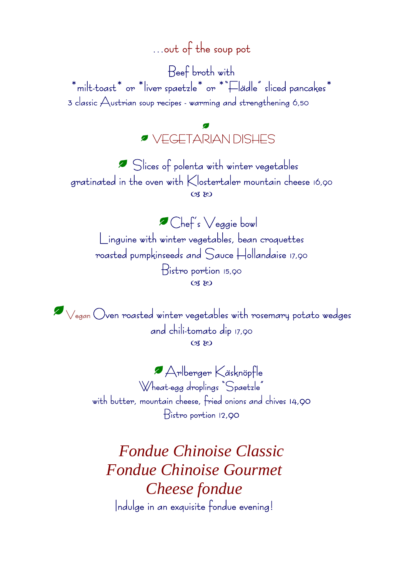# …out of the soup pot

Beef broth with  $*$ milt-toast $*$  or  $*$ liver spaetzle $*$  or  $**$  aliced pancakes $*$ 3 classic Austrian soup recipes - warming and strengthening 6,50

VEGETARIAN DISHES

 Slices of polenta with winter vegetables gratinated in the oven with Klostertaler mountain cheese 16,90  $CZ$  $EQ$ 

Chef's Veggie bowl Linguine with winter vegetables, bean croquettes roasted pumpkinseeds and Sauce Hollandaise 17,90 Bistro portion 15,90  $(M, M)$ 

Vegan Oven roasted winter vegetables with rosemary potato wedges and chili-tomato dip 17,90  $(M, M)$ 

> Arlberger Käsknöpfle Wheat-egg droplings "Spaetzle" with butter, mountain cheese, fried onions and chives 14,90 Bistro portion 12,90

*Fondue Chinoise Classic Fondue Chinoise Gourmet Cheese fondue* Indulge in an exquisite fondue evening!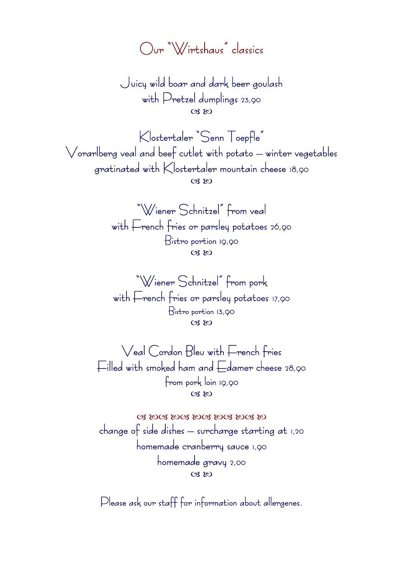Our "Wirtshaus" classics

Juicy wild boar and dark beer goulash with Pretzel dumplings 23,90  $CZ$ 

Klostertaler "Senn Toepfle" Vorarlberg veal and beef cutlet with potato – winter vegetables gratinated with Klostertaler mountain cheese 18,90  $CZ$   $RQ$ 

> "Wiener Schnitzel" from veal with French fries or parsley potatoes 26,90 Bistro portion 19,90  $CZ$

"Wiener Schnitzel" from pork with French fries or parsley potatoes 17,90 Bistro portion 13,90  $CZ$ 

Veal Cordon Bleu with French fries Filled with smoked ham and Edamer cheese 28,90 from pork loin 19,90  $(98R)$ 

Q & BOQ & BOQ & BOQ & BOQ & BOQ & BO change of side dishes – surcharge starting at 1,20 homemade cranberry sauce 1,90 homemade gravy 2,00  $CZ$ 

Please ask our staff for information about allergenes.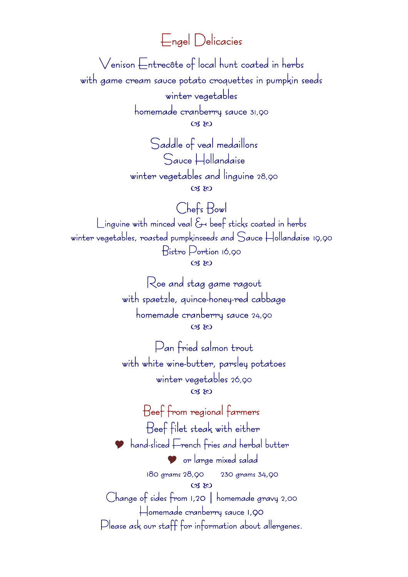Engel Delicacies

Venison Entrecôte of local hunt coated in herbs with game cream sauce potato croquettes in pumpkin seeds winter vegetables

> homemade cranberry sauce 31,90  $C38$

Saddle of veal medaillons Sauce Hollandaise winter vegetables and linguine 28,90  $CZ$ 

Chefs Bowl Linguine with minced veal & beef sticks coated in herbs winter vegetables, roasted pumpkinseeds and Sauce Hollandaise 19,90 Bistro Portion 16,90  $C38$ 

> Roe and stag game ragout with spaetzle, quince-honey-red cabbage homemade cranberry sauce 24,90  $(X, X)$

> Pan fried salmon trout with white wine-butter, parsley potatoes winter vegetables 26,90  $CZ$   $RQ$

Beef from regional farmers Beef filet steak with either **P** hand-sliced French fries and herbal butter or large mixed salad 180 grams 28,90 230 grams 34,90  $CZ$ Change of sides from 1,20 | homemade gravy 2,00 Homemade cranberry sauce 1,90 Please ask our staff for information about allergenes.